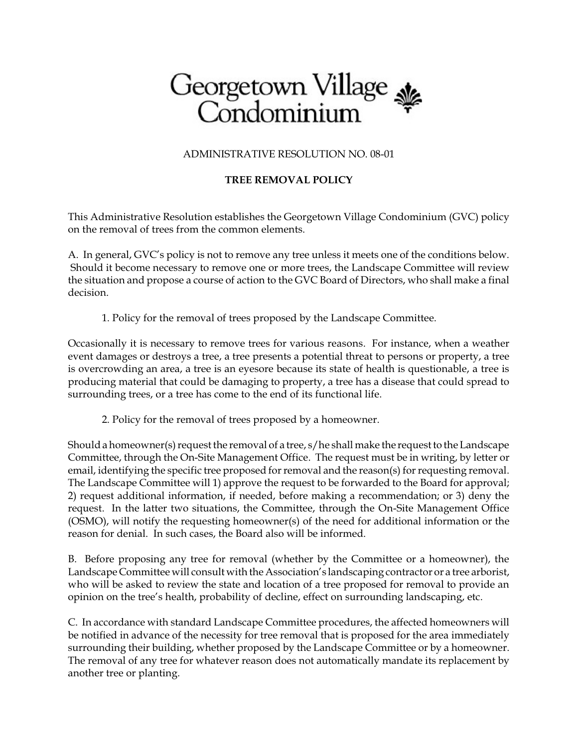## Georgetown Village

ADMINISTRATIVE RESOLUTION NO. 08-01

## **TREE REMOVAL POLICY**

This Administrative Resolution establishes the Georgetown Village Condominium (GVC) policy on the removal of trees from the common elements.

A. In general, GVC's policy is not to remove any tree unless it meets one of the conditions below. Should it become necessary to remove one or more trees, the Landscape Committee will review the situation and propose a course of action to the GVC Board of Directors, who shall make a final decision.

1. Policy for the removal of trees proposed by the Landscape Committee.

Occasionally it is necessary to remove trees for various reasons. For instance, when a weather event damages or destroys a tree, a tree presents a potential threat to persons or property, a tree is overcrowding an area, a tree is an eyesore because its state of health is questionable, a tree is producing material that could be damaging to property, a tree has a disease that could spread to surrounding trees, or a tree has come to the end of its functional life.

2. Policy for the removal of trees proposed by a homeowner.

Should a homeowner(s) request the removal of a tree,  $s/h$ e shall make the request to the Landscape Committee, through the On-Site Management Office. The request must be in writing, by letter or email, identifying the specific tree proposed for removal and the reason(s) for requesting removal. The Landscape Committee will 1) approve the request to be forwarded to the Board for approval; 2) request additional information, if needed, before making a recommendation; or 3) deny the request. In the latter two situations, the Committee, through the On-Site Management Office (OSMO), will notify the requesting homeowner(s) of the need for additional information or the reason for denial. In such cases, the Board also will be informed.

B. Before proposing any tree for removal (whether by the Committee or a homeowner), the Landscape Committee will consult with the Association's landscaping contractor or a tree arborist, who will be asked to review the state and location of a tree proposed for removal to provide an opinion on the tree's health, probability of decline, effect on surrounding landscaping, etc.

C. In accordance with standard Landscape Committee procedures, the affected homeowners will be notified in advance of the necessity for tree removal that is proposed for the area immediately surrounding their building, whether proposed by the Landscape Committee or by a homeowner. The removal of any tree for whatever reason does not automatically mandate its replacement by another tree or planting.